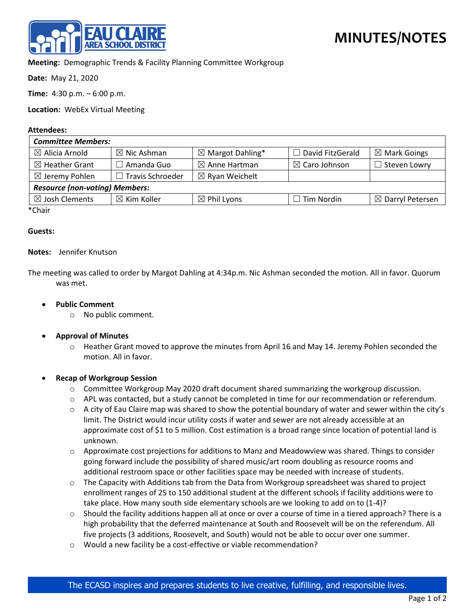

# **Meeting:** Demographic Trends & Facility Planning Committee Workgroup

**Date:** May 21, 2020

**Time:** 4:30 p.m. – 6:00 p.m.

**Location:** WebEx Virtual Meeting

#### **Attendees:**

| <b>Committee Members:</b>             |                         |                             |                          |                             |
|---------------------------------------|-------------------------|-----------------------------|--------------------------|-----------------------------|
| $\boxtimes$ Alicia Arnold             | $\boxtimes$ Nic Ashman  | $\boxtimes$ Margot Dahling* | David FitzGerald         | $\boxtimes$ Mark Goings     |
| $\boxtimes$ Heather Grant             | $\Box$ Amanda Guo       | $\boxtimes$ Anne Hartman    | $\boxtimes$ Caro Johnson | $\Box$ Steven Lowry         |
| $\boxtimes$ Jeremy Pohlen             | $\Box$ Travis Schroeder | $\boxtimes$ Ryan Weichelt   |                          |                             |
| <b>Resource (non-voting) Members:</b> |                         |                             |                          |                             |
| $\boxtimes$ Josh Clements             | $\boxtimes$ Kim Koller  | $\boxtimes$ Phil Lyons      | Tim Nordin               | $\boxtimes$ Darryl Petersen |
| *Chair                                |                         |                             |                          |                             |

Chair

### **Guests:**

### **Notes:** Jennifer Knutson

The meeting was called to order by Margot Dahling at 4:34p.m. Nic Ashman seconded the motion. All in favor. Quorum was met.

### • **Public Comment**

- o No public comment.
- **Approval of Minutes**
	- $\circ$  Heather Grant moved to approve the minutes from April 16 and May 14. Jeremy Pohlen seconded the motion. All in favor.

#### • **Recap of Workgroup Session**

- $\circ$  Committee Workgroup May 2020 draft document shared summarizing the workgroup discussion.
- $\circ$  APL was contacted, but a study cannot be completed in time for our recommendation or referendum.
- $\circ$  A city of Eau Claire map was shared to show the potential boundary of water and sewer within the city's limit. The District would incur utility costs if water and sewer are not already accessible at an approximate cost of \$1 to 5 million. Cost estimation is a broad range since location of potential land is unknown.
- o Approximate cost projections for additions to Manz and Meadowview was shared. Things to consider going forward include the possibility of shared music/art room doubling as resource rooms and additional restroom space or other facilities space may be needed with increase of students.
- $\circ$  The Capacity with Additions tab from the Data from Workgroup spreadsheet was shared to project enrollment ranges of 25 to 150 additional student at the different schools if facility additions were to take place. How many south side elementary schools are we looking to add on to (1-4)?
- $\circ$  Should the facility additions happen all at once or over a course of time in a tiered approach? There is a high probability that the deferred maintenance at South and Roosevelt will be on the referendum. All five projects (3 additions, Roosevelt, and South) would not be able to occur over one summer.
- o Would a new facility be a cost-effective or viable recommendation?